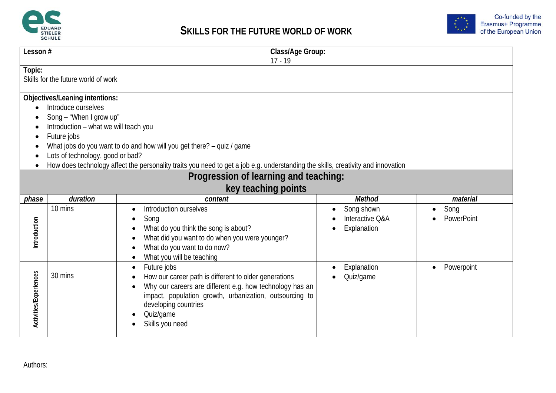



|                        | Class/Age Group:<br>Lesson#                                                                                                                                                                                                                                                                                                                                                                                                        |                                                                                                                     |                                            |                    |  |
|------------------------|------------------------------------------------------------------------------------------------------------------------------------------------------------------------------------------------------------------------------------------------------------------------------------------------------------------------------------------------------------------------------------------------------------------------------------|---------------------------------------------------------------------------------------------------------------------|--------------------------------------------|--------------------|--|
|                        |                                                                                                                                                                                                                                                                                                                                                                                                                                    |                                                                                                                     | $17 - 19$                                  |                    |  |
| Topic:                 |                                                                                                                                                                                                                                                                                                                                                                                                                                    |                                                                                                                     |                                            |                    |  |
|                        | Skills for the future world of work                                                                                                                                                                                                                                                                                                                                                                                                |                                                                                                                     |                                            |                    |  |
|                        | Objectives/Leaning intentions:<br>Introduce ourselves<br>Song - "When I grow up"<br>Introduction - what we will teach you<br>Future jobs<br>What jobs do you want to do and how will you get there? - quiz / game<br>Lots of technology, good or bad?<br>How does technology affect the personality traits you need to get a job e.g. understanding the skills, creativity and innovation<br>Progression of learning and teaching: |                                                                                                                     |                                            |                    |  |
|                        |                                                                                                                                                                                                                                                                                                                                                                                                                                    | key teaching points                                                                                                 |                                            |                    |  |
| phase                  | duration                                                                                                                                                                                                                                                                                                                                                                                                                           | content                                                                                                             | Method                                     | material           |  |
|                        | 10 mins                                                                                                                                                                                                                                                                                                                                                                                                                            | Introduction ourselves<br>Song<br>$\bullet$                                                                         | Song shown<br>$\bullet$<br>Interactive Q&A | Song<br>PowerPoint |  |
| Introduction           |                                                                                                                                                                                                                                                                                                                                                                                                                                    | What do you think the song is about?                                                                                | Explanation                                |                    |  |
|                        |                                                                                                                                                                                                                                                                                                                                                                                                                                    | What did you want to do when you were younger?                                                                      |                                            |                    |  |
|                        |                                                                                                                                                                                                                                                                                                                                                                                                                                    | What do you want to do now?                                                                                         |                                            |                    |  |
|                        |                                                                                                                                                                                                                                                                                                                                                                                                                                    | What you will be teaching<br>$\bullet$                                                                              |                                            |                    |  |
|                        |                                                                                                                                                                                                                                                                                                                                                                                                                                    | Future jobs<br>$\bullet$                                                                                            | Explanation                                | Powerpoint         |  |
|                        | 30 mins                                                                                                                                                                                                                                                                                                                                                                                                                            | How our career path is different to older generations                                                               | Quiz/game                                  |                    |  |
| Activities/Experiences |                                                                                                                                                                                                                                                                                                                                                                                                                                    | Why our careers are different e.g. how technology has an<br>impact, population growth, urbanization, outsourcing to |                                            |                    |  |
|                        |                                                                                                                                                                                                                                                                                                                                                                                                                                    | developing countries                                                                                                |                                            |                    |  |
|                        |                                                                                                                                                                                                                                                                                                                                                                                                                                    | Quiz/game                                                                                                           |                                            |                    |  |
|                        |                                                                                                                                                                                                                                                                                                                                                                                                                                    | Skills you need                                                                                                     |                                            |                    |  |
|                        |                                                                                                                                                                                                                                                                                                                                                                                                                                    |                                                                                                                     |                                            |                    |  |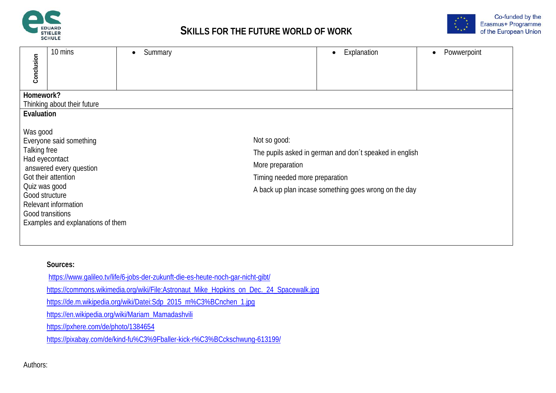



| Conclusion                                                                                        | 10 mins                                                                                                                                | Summary |                                                                    | Explanation<br>$\bullet$                                                                                         | Powwerpoint |
|---------------------------------------------------------------------------------------------------|----------------------------------------------------------------------------------------------------------------------------------------|---------|--------------------------------------------------------------------|------------------------------------------------------------------------------------------------------------------|-------------|
| Homework?                                                                                         | Thinking about their future                                                                                                            |         |                                                                    |                                                                                                                  |             |
| Evaluation                                                                                        |                                                                                                                                        |         |                                                                    |                                                                                                                  |             |
| Was good<br>Talking free<br>Had eyecontact<br>Quiz was good<br>Good structure<br>Good transitions | Everyone said something<br>answered every question<br>Got their attention<br>Relevant information<br>Examples and explanations of them |         | Not so good:<br>More preparation<br>Timing needed more preparation | The pupils asked in german and don't speaked in english<br>A back up plan incase something goes wrong on the day |             |
|                                                                                                   |                                                                                                                                        |         |                                                                    |                                                                                                                  |             |

### **Sources:**

- <https://www.galileo.tv/life/6-jobs-der-zukunft-die-es-heute-noch-gar-nicht-gibt/> [https://commons.wikimedia.org/wiki/File:Astronaut\\_Mike\\_Hopkins\\_on\\_Dec.\\_24\\_Spacewalk.jpg](https://commons.wikimedia.org/wiki/File:Astronaut_Mike_Hopkins_on_Dec._24_Spacewalk.jpg) [https://de.m.wikipedia.org/wiki/Datei:Sdp\\_2015\\_m%C3%BCnchen\\_1.jpg](https://de.m.wikipedia.org/wiki/Datei:Sdp_2015_m%C3%BCnchen_1.jpg) [https://en.wikipedia.org/wiki/Mariam\\_Mamadashvili](https://en.wikipedia.org/wiki/Mariam_Mamadashvili) <https://pxhere.com/de/photo/1384654>
- <https://pixabay.com/de/kind-fu%C3%9Fballer-kick-r%C3%BCckschwung-613199/>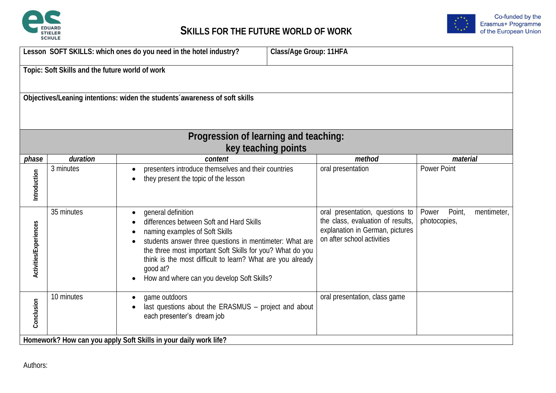



|                                                                            | Lesson SOFT SKILLS: which ones do you need in the hotel industry?<br>Class/Age Group: 11HFA |                                                                                                                                                                                                                                                                                                                                                                            |                   |                                                                                                                                       |                                 |             |
|----------------------------------------------------------------------------|---------------------------------------------------------------------------------------------|----------------------------------------------------------------------------------------------------------------------------------------------------------------------------------------------------------------------------------------------------------------------------------------------------------------------------------------------------------------------------|-------------------|---------------------------------------------------------------------------------------------------------------------------------------|---------------------------------|-------------|
|                                                                            | Topic: Soft Skills and the future world of work                                             |                                                                                                                                                                                                                                                                                                                                                                            |                   |                                                                                                                                       |                                 |             |
| Objectives/Leaning intentions: widen the students awareness of soft skills |                                                                                             |                                                                                                                                                                                                                                                                                                                                                                            |                   |                                                                                                                                       |                                 |             |
|                                                                            |                                                                                             | Progression of learning and teaching:<br>key teaching points                                                                                                                                                                                                                                                                                                               |                   |                                                                                                                                       |                                 |             |
| phase                                                                      | duration                                                                                    | content                                                                                                                                                                                                                                                                                                                                                                    |                   | method                                                                                                                                | material                        |             |
| Introduction                                                               | 3 minutes                                                                                   | presenters introduce themselves and their countries<br>they present the topic of the lesson<br>$\bullet$                                                                                                                                                                                                                                                                   | oral presentation |                                                                                                                                       | <b>Power Point</b>              |             |
| Activities/Experiences                                                     | 35 minutes                                                                                  | general definition<br>$\bullet$<br>differences between Soft and Hard Skills<br>naming examples of Soft Skills<br>students answer three questions in mentimeter: What are<br>the three most important Soft Skills for you? What do you<br>think is the most difficult to learn? What are you already<br>good at?<br>How and where can you develop Soft Skills?<br>$\bullet$ |                   | oral presentation, questions to<br>the class, evaluation of results,<br>explanation in German, pictures<br>on after school activities | Point,<br>Power<br>photocopies, | mentimeter, |
| Conclusion                                                                 | 10 minutes                                                                                  | game outdoors<br>last questions about the ERASMUS - project and about<br>each presenter's dream job<br>Homework? How can you apply Soft Skills in your daily work life?                                                                                                                                                                                                    |                   | oral presentation, class game                                                                                                         |                                 |             |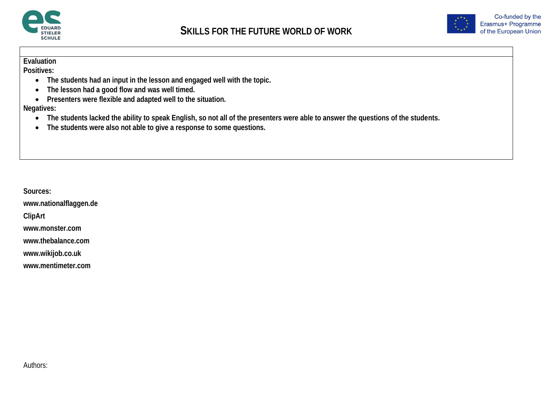



**Positives:**

- **The students had an input in the lesson and engaged well with the topic.**
- **The lesson had a good flow and was well timed.**
- **Presenters were flexible and adapted well to the situation.**

**Negatives:**

- **The students lacked the ability to speak English, so not all of the presenters were able to answer the questions of the students.**
- **The students were also not able to give a response to some questions.**

**Sources:**

**www.nationalflaggen.de**

**ClipArt**

**www.monster.com** 

**www.thebalance.com**

**www.wikijob.co.uk**

**www.mentimeter.com**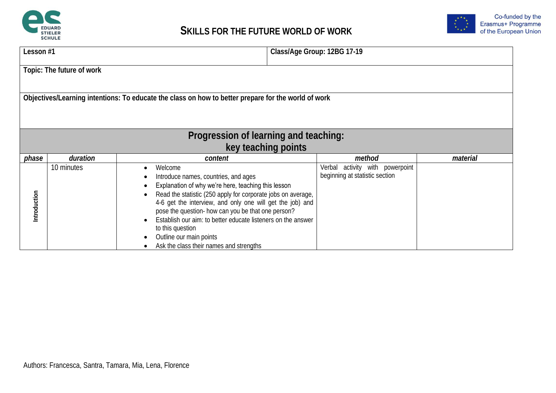



| Lesson #1    |                                                                                                     |                                                                                                                                                                                                                                                                                                                                                                                                                                                     | Class/Age Group: 12BG 17-19                                          |          |  |  |  |  |
|--------------|-----------------------------------------------------------------------------------------------------|-----------------------------------------------------------------------------------------------------------------------------------------------------------------------------------------------------------------------------------------------------------------------------------------------------------------------------------------------------------------------------------------------------------------------------------------------------|----------------------------------------------------------------------|----------|--|--|--|--|
|              | Topic: The future of work                                                                           |                                                                                                                                                                                                                                                                                                                                                                                                                                                     |                                                                      |          |  |  |  |  |
|              | Objectives/Learning intentions: To educate the class on how to better prepare for the world of work |                                                                                                                                                                                                                                                                                                                                                                                                                                                     |                                                                      |          |  |  |  |  |
|              | Progression of learning and teaching:                                                               |                                                                                                                                                                                                                                                                                                                                                                                                                                                     |                                                                      |          |  |  |  |  |
|              |                                                                                                     | key teaching points                                                                                                                                                                                                                                                                                                                                                                                                                                 |                                                                      |          |  |  |  |  |
| phase        | duration                                                                                            | content                                                                                                                                                                                                                                                                                                                                                                                                                                             | method                                                               | material |  |  |  |  |
| Introduction | 10 minutes                                                                                          | Welcome<br>Introduce names, countries, and ages<br>Explanation of why we're here, teaching this lesson<br>Read the statistic (250 apply for corporate jobs on average,<br>4-6 get the interview, and only one will get the job) and<br>pose the question- how can you be that one person?<br>Establish our aim: to better educate listeners on the answer<br>to this question<br>Outline our main points<br>Ask the class their names and strengths | activity with powerpoint<br>Verbal<br>beginning at statistic section |          |  |  |  |  |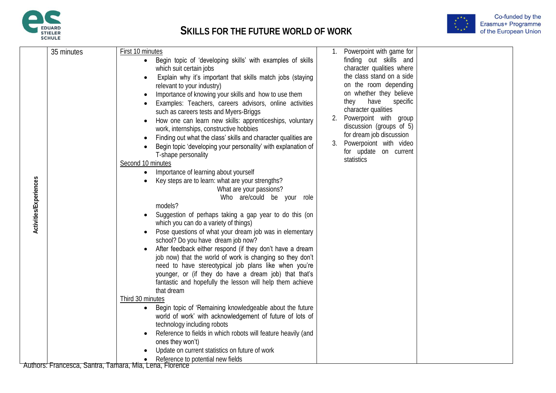



Co-funded by the<br>Erasmus+ Programme<br>of the European Union

| 1. Powerpoint with game for<br>35 minutes<br>First 10 minutes<br>finding out skills and<br>• Begin topic of 'developing skills' with examples of skills                                                                                                                                                                                                                                                                                                                                                                                                                                                                                                                                                                                                                                                                                                                                                                                                                                                                                                                                                                                                                                                                                                                                                                                                                                                                                                                                                                                                                                                                                                                                                                                                                                                                                                                                                                                                                                                                                                  |  |
|----------------------------------------------------------------------------------------------------------------------------------------------------------------------------------------------------------------------------------------------------------------------------------------------------------------------------------------------------------------------------------------------------------------------------------------------------------------------------------------------------------------------------------------------------------------------------------------------------------------------------------------------------------------------------------------------------------------------------------------------------------------------------------------------------------------------------------------------------------------------------------------------------------------------------------------------------------------------------------------------------------------------------------------------------------------------------------------------------------------------------------------------------------------------------------------------------------------------------------------------------------------------------------------------------------------------------------------------------------------------------------------------------------------------------------------------------------------------------------------------------------------------------------------------------------------------------------------------------------------------------------------------------------------------------------------------------------------------------------------------------------------------------------------------------------------------------------------------------------------------------------------------------------------------------------------------------------------------------------------------------------------------------------------------------------|--|
| character qualities where<br>which suit certain jobs<br>the class stand on a side<br>Explain why it's important that skills match jobs (staying<br>on the room depending<br>relevant to your industry)<br>on whether they believe<br>Importance of knowing your skills and how to use them<br>they<br>have<br>specific<br>Examples: Teachers, careers advisors, online activities<br>character qualities<br>such as careers tests and Myers-Briggs<br>2. Powerpoint with group<br>How one can learn new skills: apprenticeships, voluntary<br>discussion (groups of 5)<br>work, internships, constructive hobbies<br>for dream job discussion<br>Finding out what the class' skills and character qualities are<br>3.<br>Powerpoiont with video<br>Begin topic 'developing your personality' with explanation of<br>for update on current<br>T-shape personality<br>statistics<br>Second 10 minutes<br>Importance of learning about yourself<br>Activities/Experiences<br>Key steps are to learn: what are your strengths?<br>What are your passions?<br>Who are/could be your role<br>models?<br>Suggestion of perhaps taking a gap year to do this (on<br>which you can do a variety of things)<br>Pose questions of what your dream job was in elementary<br>school? Do you have dream job now?<br>After feedback either respond (if they don't have a dream<br>job now) that the world of work is changing so they don't<br>need to have stereotypical job plans like when you're<br>younger, or (if they do have a dream job) that that's<br>fantastic and hopefully the lesson will help them achieve<br>that dream<br>Third 30 minutes<br>Begin topic of 'Remaining knowledgeable about the future<br>$\bullet$<br>world of work' with acknowledgement of future of lots of<br>technology including robots<br>Reference to fields in which robots will feature heavily (and<br>ones they won't)<br>Update on current statistics on future of work<br>Reference to potential new fields<br>Authors: Francesca, Santra, Tamara, Mia, Lena, Florence |  |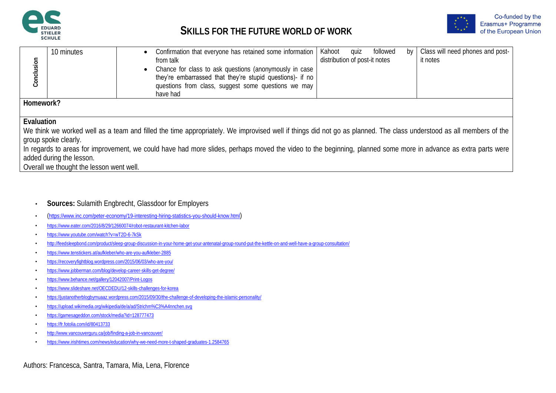



| Conclusion | 10 minutes                                                                                                                                                | Class will need phones and post-<br>followed<br>quiz<br>Confirmation that everyone has retained some information<br>Kahoot<br>by<br>distribution of post-it notes<br>it notes<br>from talk<br>Chance for class to ask questions (anonymously in case<br>they're embarrassed that they're stupid questions)- if no<br>questions from class, suggest some questions we may<br>have had |  |  |  |  |
|------------|-----------------------------------------------------------------------------------------------------------------------------------------------------------|--------------------------------------------------------------------------------------------------------------------------------------------------------------------------------------------------------------------------------------------------------------------------------------------------------------------------------------------------------------------------------------|--|--|--|--|
| Homework?  |                                                                                                                                                           |                                                                                                                                                                                                                                                                                                                                                                                      |  |  |  |  |
|            |                                                                                                                                                           |                                                                                                                                                                                                                                                                                                                                                                                      |  |  |  |  |
| Evaluation | group spoke clearly.<br>added during the lesson.<br>Overall we thought the lesson went well.                                                              | We think we worked well as a team and filled the time appropriately. We improvised well if things did not go as planned. The class understood as all members of the<br>In regards to areas for improvement, we could have had more slides, perhaps moved the video to the beginning, planned some more in advance as extra parts were                                                |  |  |  |  |
|            |                                                                                                                                                           |                                                                                                                                                                                                                                                                                                                                                                                      |  |  |  |  |
|            |                                                                                                                                                           |                                                                                                                                                                                                                                                                                                                                                                                      |  |  |  |  |
|            |                                                                                                                                                           |                                                                                                                                                                                                                                                                                                                                                                                      |  |  |  |  |
|            |                                                                                                                                                           | <b>Sources: Sulamith Engbrecht, Glassdoor for Employers</b>                                                                                                                                                                                                                                                                                                                          |  |  |  |  |
|            |                                                                                                                                                           | (https://www.inc.com/peter-economy/19-interesting-hiring-statistics-you-should-know.html)                                                                                                                                                                                                                                                                                            |  |  |  |  |
|            | https://www.eater.com/2016/8/29/12660074/robot-restaurant-kitchen-labor                                                                                   |                                                                                                                                                                                                                                                                                                                                                                                      |  |  |  |  |
|            | https://www.youtube.com/watch?v=wT2D-6-7kSk                                                                                                               |                                                                                                                                                                                                                                                                                                                                                                                      |  |  |  |  |
|            | http://feedsleepbond.com/product/sleep-group-discussion-in-your-home-get-your-antenatal-group-round-put-the-kettle-on-and-well-have-a-group-consultation/ |                                                                                                                                                                                                                                                                                                                                                                                      |  |  |  |  |
|            | https://www.tenstickers.at/aufkleber/who-are-you-aufkleber-2885                                                                                           |                                                                                                                                                                                                                                                                                                                                                                                      |  |  |  |  |
|            | https://recoveryfightblog.wordpress.com/2015/06/03/who-are-you/                                                                                           |                                                                                                                                                                                                                                                                                                                                                                                      |  |  |  |  |
|            | https://www.jobberman.com/blog/develop-career-skills-get-degree/                                                                                          |                                                                                                                                                                                                                                                                                                                                                                                      |  |  |  |  |
|            | https://www.behance.net/gallery/12042007/Print-Logos                                                                                                      |                                                                                                                                                                                                                                                                                                                                                                                      |  |  |  |  |
|            | https://www.slideshare.net/OECDEDU/12-skills-challenges-for-korea                                                                                         |                                                                                                                                                                                                                                                                                                                                                                                      |  |  |  |  |
|            |                                                                                                                                                           | https://justanotherblogbymuaaz.wordpress.com/2015/09/30/the-challenge-of-developing-the-islamic-personality/                                                                                                                                                                                                                                                                         |  |  |  |  |
|            |                                                                                                                                                           | https://upload.wikimedia.org/wikipedia/de/a/ad/Strichm%C3%A4nnchen.svg                                                                                                                                                                                                                                                                                                               |  |  |  |  |
|            | https://gamesageddon.com/stock/media?id=128777473                                                                                                         |                                                                                                                                                                                                                                                                                                                                                                                      |  |  |  |  |
|            | https://fr.fotolia.com/id/80413733                                                                                                                        |                                                                                                                                                                                                                                                                                                                                                                                      |  |  |  |  |
|            | http://www.vancouverguru.ca/job/finding-a-job-in-vancouver/                                                                                               |                                                                                                                                                                                                                                                                                                                                                                                      |  |  |  |  |
|            |                                                                                                                                                           | https://www.irishtimes.com/news/education/why-we-need-more-t-shaped-graduates-1.2584765                                                                                                                                                                                                                                                                                              |  |  |  |  |

- **Sources:** Sulamith Engbrecht, Glassdoor for Employers
- (<https://www.inc.com/peter-economy/19-interesting-hiring-statistics-you-should-know.html>)
- <https://www.eater.com/2016/8/29/12660074/robot-restaurant-kitchen-labor>
- <https://www.youtube.com/watch?v=wT2D-6-7kSk>
- <http://feedsleepbond.com/product/sleep-group-discussion-in-your-home-get-your-antenatal-group-round-put-the-kettle-on-and-well-have-a-group-consultation/>
- <https://www.tenstickers.at/aufkleber/who-are-you-aufkleber-2885>
- <https://recoveryfightblog.wordpress.com/2015/06/03/who-are-you/>
- <https://www.jobberman.com/blog/develop-career-skills-get-degree/>
- <https://www.behance.net/gallery/12042007/Print-Logos>
- <https://www.slideshare.net/OECDEDU/12-skills-challenges-for-korea>
- <https://justanotherblogbymuaaz.wordpress.com/2015/09/30/the-challenge-of-developing-the-islamic-personality/>
- <https://upload.wikimedia.org/wikipedia/de/a/ad/Strichm%C3%A4nnchen.svg>
- <https://gamesageddon.com/stock/media?id=128777473>
- <https://fr.fotolia.com/id/80413733>
- <http://www.vancouverguru.ca/job/finding-a-job-in-vancouver/>
- 

Authors: Francesca, Santra, Tamara, Mia, Lena, Florence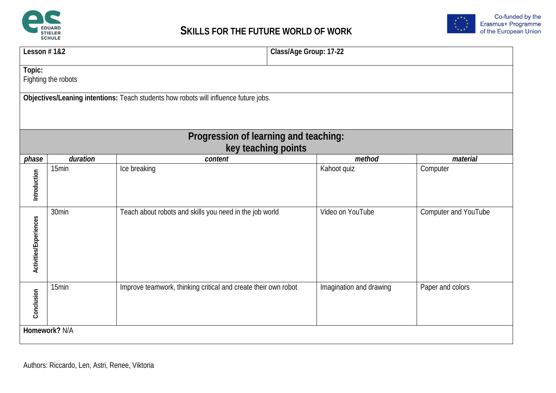



|                        | Lesson #1&2<br>Class/Age Group: 17-22                                                |                                                                |  |                         |                      |  |  |
|------------------------|--------------------------------------------------------------------------------------|----------------------------------------------------------------|--|-------------------------|----------------------|--|--|
| Topic:                 | Fighting the robots                                                                  |                                                                |  |                         |                      |  |  |
|                        | Objectives/Leaning intentions: Teach students how robots will influence future jobs. |                                                                |  |                         |                      |  |  |
|                        |                                                                                      | Progression of learning and teaching:<br>key teaching points   |  |                         |                      |  |  |
| phase                  | duration                                                                             | content                                                        |  | method                  | material             |  |  |
| Introduction           | 15min                                                                                | Ice breaking                                                   |  | Kahoot quiz             | Computer             |  |  |
| Activities/Experiences | 30min                                                                                | Teach about robots and skills you need in the job world        |  | Video on YouTube        | Computer and YouTube |  |  |
| Conclusion             | 15min                                                                                | Improve teamwork, thinking critical and create their own robot |  | Imagination and drawing | Paper and colors     |  |  |
| Homework? N/A          |                                                                                      |                                                                |  |                         |                      |  |  |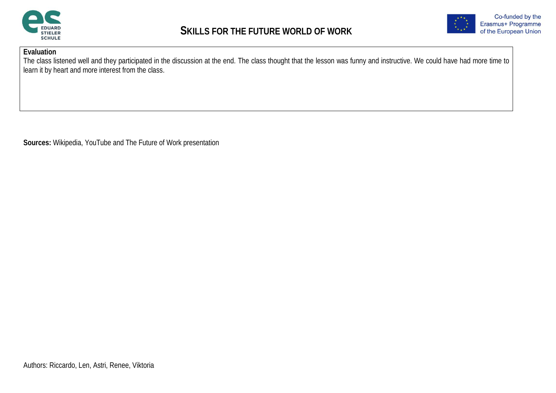



The class listened well and they participated in the discussion at the end. The class thought that the lesson was funny and instructive. We could have had more time to learn it by heart and more interest from the class.

**Sources:** Wikipedia, YouTube and The Future of Work presentation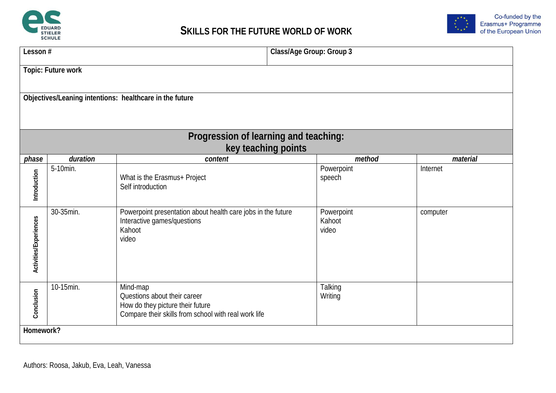



| Lesson#                | Class/Age Group: Group 3                                |                                                                                                                                      |                               |          |  |  |  |
|------------------------|---------------------------------------------------------|--------------------------------------------------------------------------------------------------------------------------------------|-------------------------------|----------|--|--|--|
|                        | Topic: Future work                                      |                                                                                                                                      |                               |          |  |  |  |
|                        | Objectives/Leaning intentions: healthcare in the future |                                                                                                                                      |                               |          |  |  |  |
|                        |                                                         | Progression of learning and teaching:<br>key teaching points                                                                         |                               |          |  |  |  |
| phase                  | duration                                                | content                                                                                                                              | method                        | material |  |  |  |
| Introduction           | 5-10min.                                                | What is the Erasmus+ Project<br>Self introduction                                                                                    | Powerpoint<br>speech          | Internet |  |  |  |
| Activities/Experiences | 30-35min.                                               | Powerpoint presentation about health care jobs in the future<br>Interactive games/questions<br>Kahoot<br>video                       | Powerpoint<br>Kahoot<br>video | computer |  |  |  |
| Conclusion             | 10-15min.                                               | Mind-map<br>Questions about their career<br>How do they picture their future<br>Compare their skills from school with real work life | Talking<br>Writing            |          |  |  |  |
| Homework?              |                                                         |                                                                                                                                      |                               |          |  |  |  |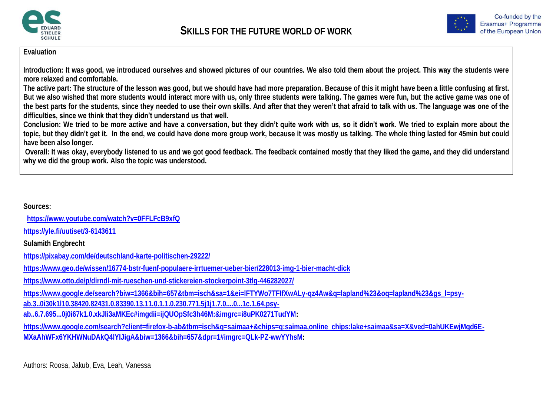



**Introduction: It was good, we introduced ourselves and showed pictures of our countries. We also told them about the project. This way the students were more relaxed and comfortable.**

**The active part: The structure of the lesson was good, but we should have had more preparation. Because of this it might have been a little confusing at first. But we also wished that more students would interact more with us, only three students were talking. The games were fun, but the active game was one of the best parts for the students, since they needed to use their own skills. And after that they weren't that afraid to talk with us. The language was one of the difficulties, since we think that they didn't understand us that well.**

**Conclusion: We tried to be more active and have a conversation, but they didn't quite work with us, so it didn't work. We tried to explain more about the topic, but they didn't get it. In the end, we could have done more group work, because it was mostly us talking. The whole thing lasted for 45min but could have been also longer.** 

**Overall: It was okay, everybody listened to us and we got good feedback. The feedback contained mostly that they liked the game, and they did understand why we did the group work. Also the topic was understood.** 

**Sources:**

 **<https://www.youtube.com/watch?v=0FFLFcB9xfQ>**

**<https://yle.fi/uutiset/3-6143611>**

**Sulamith Engbrecht**

**<https://pixabay.com/de/deutschland-karte-politischen-29222/>**

**<https://www.geo.de/wissen/16774-bstr-fuenf-populaere-irrtuemer-ueber-bier/228013-img-1-bier-macht-dick>**

**<https://www.otto.de/p/dirndl-mit-rueschen-und-stickereien-stockerpoint-3tlg-446282027/>**

**[https://www.google.de/search?biw=1366&bih=657&tbm=isch&sa=1&ei=lFTYWo7TFIfXwALy-qz4Aw&q=lapland%23&oq=lapland%23&gs\\_l=psy-](https://www.google.de/search?biw=1366&bih=657&tbm=isch&sa=1&ei=lFTYWo7TFIfXwALy-qz4Aw&q=lapland%23&oq=lapland%23&gs_l=psy-ab.3..0i30k1l10.38420.82431.0.83390.13.11.0.1.1.0.230.771.5j1j1.7.0....0...1c.1.64.psy-ab..6.7.695...0j0i67k1.0.xkJli3aMKEc#imgdii=ijQUOpSfc3h46M:&imgrc=i8uPK0271TudYM)**

**[ab.3..0i30k1l10.38420.82431.0.83390.13.11.0.1.1.0.230.771.5j1j1.7.0....0...1c.1.64.psy-](https://www.google.de/search?biw=1366&bih=657&tbm=isch&sa=1&ei=lFTYWo7TFIfXwALy-qz4Aw&q=lapland%23&oq=lapland%23&gs_l=psy-ab.3..0i30k1l10.38420.82431.0.83390.13.11.0.1.1.0.230.771.5j1j1.7.0....0...1c.1.64.psy-ab..6.7.695...0j0i67k1.0.xkJli3aMKEc#imgdii=ijQUOpSfc3h46M:&imgrc=i8uPK0271TudYM)**

**[ab..6.7.695...0j0i67k1.0.xkJli3aMKEc#imgdii=ijQUOpSfc3h46M:&imgrc=i8uPK0271TudYM:](https://www.google.de/search?biw=1366&bih=657&tbm=isch&sa=1&ei=lFTYWo7TFIfXwALy-qz4Aw&q=lapland%23&oq=lapland%23&gs_l=psy-ab.3..0i30k1l10.38420.82431.0.83390.13.11.0.1.1.0.230.771.5j1j1.7.0....0...1c.1.64.psy-ab..6.7.695...0j0i67k1.0.xkJli3aMKEc#imgdii=ijQUOpSfc3h46M:&imgrc=i8uPK0271TudYM)**

https://www.google.com/search?client=firefox-b-ab&tbm=isch&q=saimaa+&chips=q:saimaa,online\_chips:lake+saimaa&sa=X&ved=0ahUKEwjMgd6E-**[MXaAhWFx6YKHWNuDAkQ4lYIJigA&biw=1366&bih=657&dpr=1#imgrc=QLk-PZ-wwYYhsM:](https://www.google.com/search?client=firefox-b-ab&tbm=isch&q=saimaa+&chips=q:saimaa,online_chips:lake+saimaa&sa=X&ved=0ahUKEwjMqd6E-MXaAhWFx6YKHWNuDAkQ4lYIJigA&biw=1366&bih=657&dpr=1#imgrc=QLk-PZ-wwYYhsM)**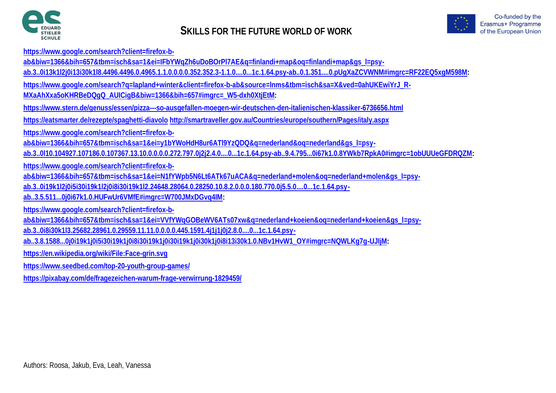



**[https://www.google.com/search?client=firefox-b-](https://www.google.com/search?client=firefox-b-ab&biw=1366&bih=657&tbm=isch&sa=1&ei=IFbYWqZh6uDoBOrPl7AE&q=finlandi+map&oq=finlandi+map&gs_l=psy-ab.3..0i13k1l2j0i13i30k1l8.4496.4496.0.4965.1.1.0.0.0.0.352.352.3-1.1.0....0...1c.1.64.psy-ab..0.1.351....0.pUgXaZCVWNM#imgrc=RF22EQ5xgM598M)**

ab&biw=1366&bih=657&tbm=isch&sa=1&ei=IFbYWqZh6uDoBOrPl7AE&q=finlandi+map&oq=finlandi+map&qs\_l=psy-

**[ab.3..0i13k1l2j0i13i30k1l8.4496.4496.0.4965.1.1.0.0.0.0.352.352.3-1.1.0....0...1c.1.64.psy-ab..0.1.351....0.pUgXaZCVWNM#imgrc=RF22EQ5xgM598M:](https://www.google.com/search?client=firefox-b-ab&biw=1366&bih=657&tbm=isch&sa=1&ei=IFbYWqZh6uDoBOrPl7AE&q=finlandi+map&oq=finlandi+map&gs_l=psy-ab.3..0i13k1l2j0i13i30k1l8.4496.4496.0.4965.1.1.0.0.0.0.352.352.3-1.1.0....0...1c.1.64.psy-ab..0.1.351....0.pUgXaZCVWNM#imgrc=RF22EQ5xgM598M)**

https://www.google.com/search?g=lapland+winter&client=firefox-b-ab&source=lnms&tbm=isch&sa=X&ved=0ahUKEwiYrJ\_R-

**[MXaAhXxa5oKHRBeDQgQ\\_AUICigB&biw=1366&bih=657#imgrc=\\_W5-dxh0XtjEtM:](https://www.google.com/search?q=lapland+winter&client=firefox-b-ab&source=lnms&tbm=isch&sa=X&ved=0ahUKEwiYrJ_R-MXaAhXxa5oKHRBeDQgQ_AUICigB&biw=1366&bih=657#imgrc=_W5-dxh0XtjEtM)**

**<https://www.stern.de/genuss/essen/pizza---so-ausgefallen-moegen-wir-deutschen-den-italienischen-klassiker-6736656.html>**

**<https://eatsmarter.de/rezepte/spaghetti-diavolo> <http://smartraveller.gov.au/Countries/europe/southern/Pages/italy.aspx>**

**[https://www.google.com/search?client=firefox-b-](https://www.google.com/search?client=firefox-b-ab&biw=1366&bih=657&tbm=isch&sa=1&ei=y1bYWoHdH8ur6ATl9YzQDQ&q=nederland&oq=nederland&gs_l=psy-ab.3..0l10.104927.107186.0.107367.13.10.0.0.0.0.272.797.0j2j2.4.0....0...1c.1.64.psy-ab..9.4.795...0i67k1.0.8YWkb7RpkA0#imgrc=1obUUUeGFDRQZM)**

[ab&biw=1366&bih=657&tbm=isch&sa=1&ei=y1bYWoHdH8ur6ATl9YzQDQ&q=nederland&oq=nederland&gs\\_l=psy-](https://www.google.com/search?client=firefox-b-ab&biw=1366&bih=657&tbm=isch&sa=1&ei=y1bYWoHdH8ur6ATl9YzQDQ&q=nederland&oq=nederland&gs_l=psy-ab.3..0l10.104927.107186.0.107367.13.10.0.0.0.0.272.797.0j2j2.4.0....0...1c.1.64.psy-ab..9.4.795...0i67k1.0.8YWkb7RpkA0#imgrc=1obUUUeGFDRQZM)

**[ab.3..0l10.104927.107186.0.107367.13.10.0.0.0.0.272.797.0j2j2.4.0....0...1c.1.64.psy-ab..9.4.795...0i67k1.0.8YWkb7RpkA0#imgrc=1obUUUeGFDRQZM:](https://www.google.com/search?client=firefox-b-ab&biw=1366&bih=657&tbm=isch&sa=1&ei=y1bYWoHdH8ur6ATl9YzQDQ&q=nederland&oq=nederland&gs_l=psy-ab.3..0l10.104927.107186.0.107367.13.10.0.0.0.0.272.797.0j2j2.4.0....0...1c.1.64.psy-ab..9.4.795...0i67k1.0.8YWkb7RpkA0#imgrc=1obUUUeGFDRQZM)**

**[https://www.google.com/search?client=firefox-b-](https://www.google.com/search?client=firefox-b-ab&biw=1366&bih=657&tbm=isch&sa=1&ei=N1fYWpb5N6Lt6ATk67uACA&q=nederland+molen&oq=nederland+molen&gs_l=psy-ab.3..0i19k1l2j0i5i30i19k1l2j0i8i30i19k1l2.24648.28064.0.28250.10.8.2.0.0.0.180.770.0j5.5.0....0...1c.1.64.psy-ab..3.5.511...0j0i67k1.0.HUFwUr6VMfE#imgrc=W700JMxDGvq4IM)**

[ab&biw=1366&bih=657&tbm=isch&sa=1&ei=N1fYWpb5N6Lt6ATk67uACA&q=nederland+molen&oq=nederland+molen&gs\\_l=psy-](https://www.google.com/search?client=firefox-b-ab&biw=1366&bih=657&tbm=isch&sa=1&ei=N1fYWpb5N6Lt6ATk67uACA&q=nederland+molen&oq=nederland+molen&gs_l=psy-ab.3..0i19k1l2j0i5i30i19k1l2j0i8i30i19k1l2.24648.28064.0.28250.10.8.2.0.0.0.180.770.0j5.5.0....0...1c.1.64.psy-ab..3.5.511...0j0i67k1.0.HUFwUr6VMfE#imgrc=W700JMxDGvq4IM)

**[ab.3..0i19k1l2j0i5i30i19k1l2j0i8i30i19k1l2.24648.28064.0.28250.10.8.2.0.0.0.180.770.0j5.5.0....0...1c.1.64.psy-](https://www.google.com/search?client=firefox-b-ab&biw=1366&bih=657&tbm=isch&sa=1&ei=N1fYWpb5N6Lt6ATk67uACA&q=nederland+molen&oq=nederland+molen&gs_l=psy-ab.3..0i19k1l2j0i5i30i19k1l2j0i8i30i19k1l2.24648.28064.0.28250.10.8.2.0.0.0.180.770.0j5.5.0....0...1c.1.64.psy-ab..3.5.511...0j0i67k1.0.HUFwUr6VMfE#imgrc=W700JMxDGvq4IM)**

**[ab..3.5.511...0j0i67k1.0.HUFwUr6VMfE#imgrc=W700JMxDGvq4IM:](https://www.google.com/search?client=firefox-b-ab&biw=1366&bih=657&tbm=isch&sa=1&ei=N1fYWpb5N6Lt6ATk67uACA&q=nederland+molen&oq=nederland+molen&gs_l=psy-ab.3..0i19k1l2j0i5i30i19k1l2j0i8i30i19k1l2.24648.28064.0.28250.10.8.2.0.0.0.180.770.0j5.5.0....0...1c.1.64.psy-ab..3.5.511...0j0i67k1.0.HUFwUr6VMfE#imgrc=W700JMxDGvq4IM)**

**[https://www.google.com/search?client=firefox-b-](https://www.google.com/search?client=firefox-b-ab&biw=1366&bih=657&tbm=isch&sa=1&ei=VVfYWqGOBeWV6ATs07xw&q=nederland+koeien&oq=nederland+koeien&gs_l=psy-ab.3..0i8i30k1l3.25682.28961.0.29559.11.11.0.0.0.0.445.1591.4j1j1j0j2.8.0....0...1c.1.64.psy-ab..3.8.1588...0j0i19k1j0i5i30i19k1j0i8i30i19k1j0i30i19k1j0i30k1j0i8i13i30k1.0.NBv1HvW1_OY#imgrc=NQWLKg7g-UJIjM)**

ab&biw=1366&bih=657&tbm=isch&sa=1&ei=VVfYWqGOBeWV6ATs07xw&q=nederland+koeien&oq=nederland+koeien&qs\_l=psy-

**[ab.3..0i8i30k1l3.25682.28961.0.29559.11.11.0.0.0.0.445.1591.4j1j1j0j2.8.0....0...1c.1.64.psy-](https://www.google.com/search?client=firefox-b-ab&biw=1366&bih=657&tbm=isch&sa=1&ei=VVfYWqGOBeWV6ATs07xw&q=nederland+koeien&oq=nederland+koeien&gs_l=psy-ab.3..0i8i30k1l3.25682.28961.0.29559.11.11.0.0.0.0.445.1591.4j1j1j0j2.8.0....0...1c.1.64.psy-ab..3.8.1588...0j0i19k1j0i5i30i19k1j0i8i30i19k1j0i30i19k1j0i30k1j0i8i13i30k1.0.NBv1HvW1_OY#imgrc=NQWLKg7g-UJIjM)**

**[ab..3.8.1588...0j0i19k1j0i5i30i19k1j0i8i30i19k1j0i30i19k1j0i30k1j0i8i13i30k1.0.NBv1HvW1\\_OY#imgrc=NQWLKg7g-UJIjM:](https://www.google.com/search?client=firefox-b-ab&biw=1366&bih=657&tbm=isch&sa=1&ei=VVfYWqGOBeWV6ATs07xw&q=nederland+koeien&oq=nederland+koeien&gs_l=psy-ab.3..0i8i30k1l3.25682.28961.0.29559.11.11.0.0.0.0.445.1591.4j1j1j0j2.8.0....0...1c.1.64.psy-ab..3.8.1588...0j0i19k1j0i5i30i19k1j0i8i30i19k1j0i30i19k1j0i30k1j0i8i13i30k1.0.NBv1HvW1_OY#imgrc=NQWLKg7g-UJIjM)**

**<https://en.wikipedia.org/wiki/File:Face-grin.svg>**

**<https://www.seedbed.com/top-20-youth-group-games/>**

**<https://pixabay.com/de/fragezeichen-warum-frage-verwirrung-1829459/>**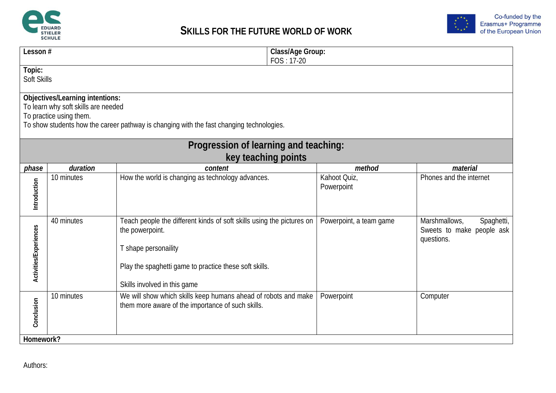



| Lesson#                      |                                                                                                                                                                                               | $FOS: 17-20$                                                                                                                                                                                               | Class/Age Group:           |                                                                        |  |  |
|------------------------------|-----------------------------------------------------------------------------------------------------------------------------------------------------------------------------------------------|------------------------------------------------------------------------------------------------------------------------------------------------------------------------------------------------------------|----------------------------|------------------------------------------------------------------------|--|--|
| Topic:<br><b>Soft Skills</b> |                                                                                                                                                                                               |                                                                                                                                                                                                            |                            |                                                                        |  |  |
|                              | Objectives/Learning intentions:<br>To learn why soft skills are needed<br>To practice using them.<br>To show students how the career pathway is changing with the fast changing technologies. |                                                                                                                                                                                                            |                            |                                                                        |  |  |
|                              |                                                                                                                                                                                               | Progression of learning and teaching:<br>key teaching points                                                                                                                                               |                            |                                                                        |  |  |
| phase                        | duration                                                                                                                                                                                      | content                                                                                                                                                                                                    | method                     | material                                                               |  |  |
| Introduction                 | 10 minutes                                                                                                                                                                                    | How the world is changing as technology advances.                                                                                                                                                          | Kahoot Quiz,<br>Powerpoint | Phones and the internet                                                |  |  |
| Activities/Experiences       | 40 minutes                                                                                                                                                                                    | Teach people the different kinds of soft skills using the pictures on<br>the powerpoint.<br>T shape personaility<br>Play the spaghetti game to practice these soft skills.<br>Skills involved in this game | Powerpoint, a team game    | Marshmallows,<br>Spaghetti,<br>Sweets to make people ask<br>questions. |  |  |
| Conclusion                   | 10 minutes                                                                                                                                                                                    | We will show which skills keep humans ahead of robots and make<br>them more aware of the importance of such skills.                                                                                        | Powerpoint                 | Computer                                                               |  |  |
| Homework?                    |                                                                                                                                                                                               |                                                                                                                                                                                                            |                            |                                                                        |  |  |